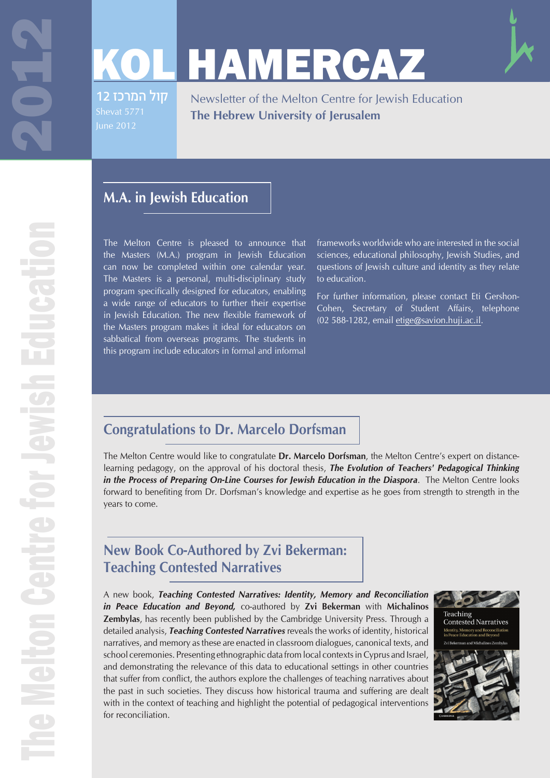Ē

# KOL HAMERCAZ

קול המרכז 12

Newsletter of the Melton Centre for Jewish Education **The Hebrew University of Jerusalem**

### **M.A. in Jewish Education**

The Melton Centre is pleased to announce that the Masters (M.A.) program in Jewish Education can now be completed within one calendar year. The Masters is a personal, multi-disciplinary study program specifically designed for educators, enabling a wide range of educators to further their expertise in Jewish Education. The new flexible framework of the Masters program makes it ideal for educators on sabbatical from overseas programs. The students in this program include educators in formal and informal

frameworks worldwide who are interested in the social sciences, educational philosophy, Jewish Studies, and questions of Jewish culture and identity as they relate to education.

For further information, please contact Eti Gershon-Cohen, Secretary of Student Affairs, telephone (02 588-1282, email etige@savion.huji.ac.il.

### **Congratulations to Dr. Marcelo Dorfsman**

The Melton Centre would like to congratulate **Dr. Marcelo Dorfsman**, the Melton Centre's expert on distancelearning pedagogy, on the approval of his doctoral thesis, *The Evolution of Teachers' Pedagogical Thinking in the Process of Preparing On-Line Courses for Jewish Education in the Diaspora*. The Melton Centre looks forward to benefiting from Dr. Dorfsman's knowledge and expertise as he goes from strength to strength in the years to come.

### **New Book Co-Authored by Zvi Bekerman: Teaching Contested Narratives**

A new book, *Teaching Contested Narratives: Identity, Memory and Reconciliation in Peace Education and Beyond,* co-authored by **Zvi Bekerman** with **Michalinos Zembylas**, has recently been published by the Cambridge University Press. Through a detailed analysis, *Teaching Contested Narratives* reveals the works of identity, historical narratives, and memory as these are enacted in classroom dialogues, canonical texts, and school ceremonies. Presenting ethnographic data from local contexts in Cyprus and Israel, and demonstrating the relevance of this data to educational settings in other countries that suffer from conflict, the authors explore the challenges of teaching narratives about the past in such societies. They discuss how historical trauma and suffering are dealt with in the context of teaching and highlight the potential of pedagogical interventions for reconciliation.

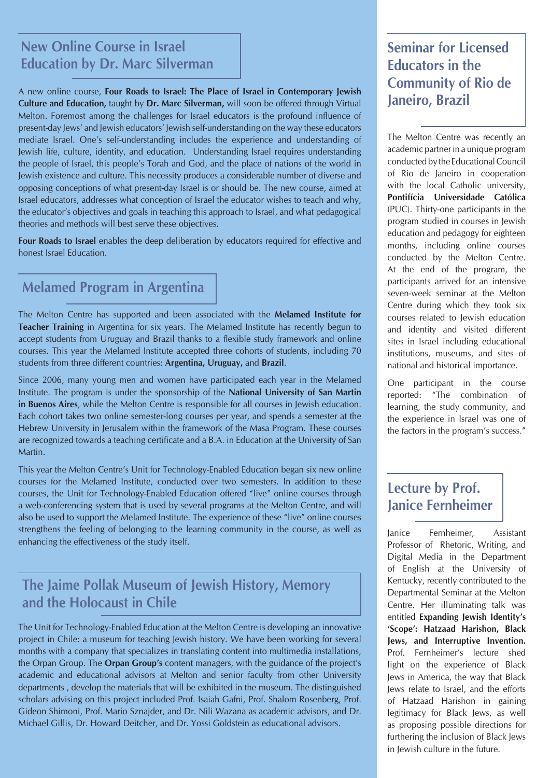### **New Online Course in Israel Education by Dr. Marc Silverman**

A new online course, **Four Roads to Israel: The Place of Israel in Contemporary Jewish <b>Francish Culture and Education, taught by Dr. Marc Silverman, will soon be offered through Virtual <b>Janeiro, Brazil** Melton. Foremost among the challenges for Israel educators is the profound influence of present-day Jews' and Jewish educators' Jewish self-understanding on the way these educators mediate Israel. One's self-understanding includes the experience and understanding of Jewish life, culture, identity, and education. Understanding Israel requires understanding the people of Israel, this people's Torah and God, and the place of nations of the world in Jewish existence and culture. This necessity produces a considerable number of diverse and opposing conceptions of what present-day Israel is or should be. The new course, aimed at Israel educators, addresses what conception of Israel the educator wishes to teach and why, the educator's objectives and goals in teaching this approach to Israel, and what pedagogical theories and methods will best serve these objectives.

**Four Roads to Israel** enables the deep deliberation by educators required for effective and honest Israel Education.

### **Melamed Program in Argentina**

The Melton Centre has supported and been associated with the **Melamed Institute for Teacher Training** in Argentina for six years. The Melamed Institute has recently begun to accept students from Uruguay and Brazil thanks to a flexible study framework and online courses. This year the Melamed Institute accepted three cohorts of students, including 70 students from three different countries: **Argentina, Uruguay,** and **Brazil**.

Since 2006, many young men and women have participated each year in the Melamed Institute. The program is under the sponsorship of the **National University of San Martin in Buenos Aires**, while the Melton Centre is responsible for all courses in Jewish education. Each cohort takes two online semester-long courses per year, and spends a semester at the Hebrew University in Jerusalem within the framework of the Masa Program. These courses are recognized towards a teaching certificate and a B.A. in Education at the University of San Martin.

This year the Melton Centre's Unit for Technology-Enabled Education began six new online courses for the Melamed Institute, conducted over two semesters. In addition to these courses, the Unit for Technology-Enabled Education offered "live" online courses through a web-conferencing system that is used by several programs at the Melton Centre, and will also be used to support the Melamed Institute. The experience of these "live" online courses strengthens the feeling of belonging to the learning community in the course, as well as enhancing the effectiveness of the study itself.

### **The Jaime Pollak Museum of Jewish History, Memory and the Holocaust in Chile**

The Unit for Technology-Enabled Education at the Melton Centre is developing an innovative project in Chile: a museum for teaching Jewish history. We have been working for several months with a company that specializes in translating content into multimedia installations, the Orpan Group. The **Orpan Group's** content managers, with the guidance of the project's academic and educational advisors at Melton and senior faculty from other University departments , develop the materials that will be exhibited in the museum. The distinguished scholars advising on this project included Prof. Isaiah Gafni, Prof. Shalom Rosenberg, Prof. Gideon Shimoni, Prof. Mario Sznajder, and Dr. Nili Wazana as academic advisors, and Dr. Michael Gillis, Dr. Howard Deitcher, and Dr. Yossi Goldstein as educational advisors.

# **Seminar for Licensed Educators in the Community of Rio de**

The Melton Centre was recently an academic partner in a unique program conducted by the Educational Council of Rio de Janeiro in cooperation with the local Catholic university, **Pontifícia Universidade Católica** (PUC). Thirty-one participants in the program studied in courses in Jewish education and pedagogy for eighteen months, including online courses conducted by the Melton Centre. At the end of the program, the participants arrived for an intensive seven-week seminar at the Melton Centre during which they took six courses related to Jewish education and identity and visited different sites in Israel including educational institutions, museums, and sites of national and historical importance.

One participant in the course reported: "The combination of learning, the study community, and the experience in Israel was one of the factors in the program's success."

### **Lecture by Prof. Janice Fernheimer**

Janice Fernheimer, Assistant Professor of Rhetoric, Writing, and Digital Media in the Department of English at the University of Kentucky, recently contributed to the Departmental Seminar at the Melton Centre. Her illuminating talk was entitled **Expanding Jewish Identity's 'Scope': Hatzaad Harishon, Black Jews, and Interruptive Invention.** Prof. Fernheimer's lecture shed light on the experience of Black Jews in America, the way that Black Jews relate to Israel, and the efforts of Hatzaad Harishon in gaining legitimacy for Black Jews, as well as proposing possible directions for furthering the inclusion of Black Jews in Jewish culture in the future.